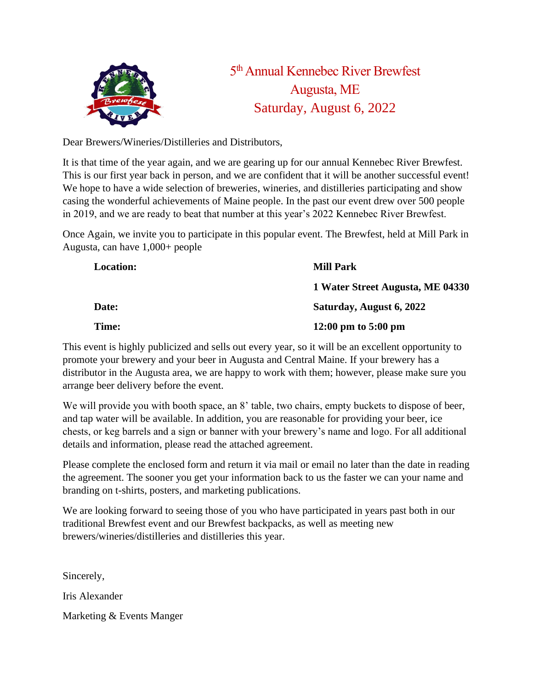

5<sup>th</sup> Annual Kennebec River Brewfest Augusta, ME Saturday, August 6, 2022

Dear Brewers/Wineries/Distilleries and Distributors,

It is that time of the year again, and we are gearing up for our annual Kennebec River Brewfest. This is our first year back in person, and we are confident that it will be another successful event! We hope to have a wide selection of breweries, wineries, and distilleries participating and show casing the wonderful achievements of Maine people. In the past our event drew over 500 people in 2019, and we are ready to beat that number at this year's 2022 Kennebec River Brewfest.

Once Again, we invite you to participate in this popular event. The Brewfest, held at Mill Park in Augusta, can have 1,000+ people

| <b>Location:</b> | <b>Mill Park</b>                 |
|------------------|----------------------------------|
|                  | 1 Water Street Augusta, ME 04330 |
| <b>Date:</b>     | Saturday, August 6, 2022         |
| <b>Time:</b>     | 12:00 pm to $5:00$ pm            |

This event is highly publicized and sells out every year, so it will be an excellent opportunity to promote your brewery and your beer in Augusta and Central Maine. If your brewery has a distributor in the Augusta area, we are happy to work with them; however, please make sure you arrange beer delivery before the event.

We will provide you with booth space, an 8' table, two chairs, empty buckets to dispose of beer, and tap water will be available. In addition, you are reasonable for providing your beer, ice chests, or keg barrels and a sign or banner with your brewery's name and logo. For all additional details and information, please read the attached agreement.

Please complete the enclosed form and return it via mail or email no later than the date in reading the agreement. The sooner you get your information back to us the faster we can your name and branding on t-shirts, posters, and marketing publications.

We are looking forward to seeing those of you who have participated in years past both in our traditional Brewfest event and our Brewfest backpacks, as well as meeting new brewers/wineries/distilleries and distilleries this year.

Sincerely, Iris Alexander Marketing & Events Manger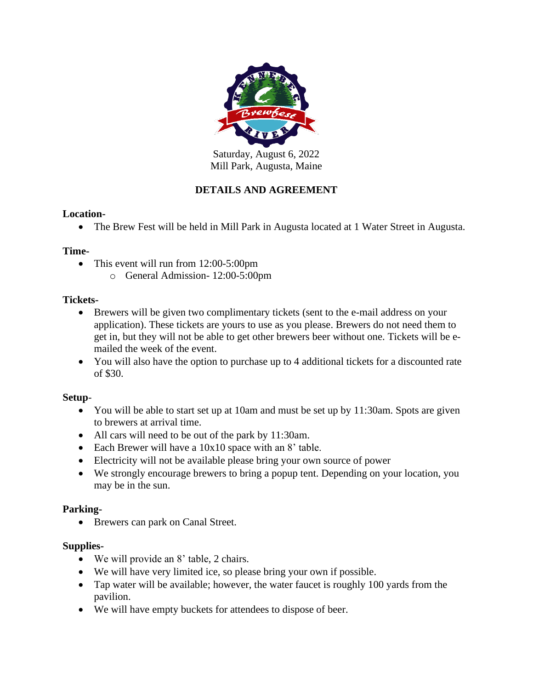

Saturday, August 6, 2022 Mill Park, Augusta, Maine

# **DETAILS AND AGREEMENT**

## **Location-**

• The Brew Fest will be held in Mill Park in Augusta located at 1 Water Street in Augusta.

#### **Time-**

- This event will run from 12:00-5:00pm
	- o General Admission- 12:00-5:00pm

#### **Tickets-**

- Brewers will be given two complimentary tickets (sent to the e-mail address on your application). These tickets are yours to use as you please. Brewers do not need them to get in, but they will not be able to get other brewers beer without one. Tickets will be emailed the week of the event.
- You will also have the option to purchase up to 4 additional tickets for a discounted rate of \$30.

## **Setup**-

- You will be able to start set up at 10am and must be set up by 11:30am. Spots are given to brewers at arrival time.
- All cars will need to be out of the park by 11:30am.
- Each Brewer will have a 10x10 space with an 8' table.
- Electricity will not be available please bring your own source of power
- We strongly encourage brewers to bring a popup tent. Depending on your location, you may be in the sun.

#### **Parking-**

• Brewers can park on Canal Street.

#### **Supplies-**

- We will provide an 8' table, 2 chairs.
- We will have very limited ice, so please bring your own if possible.
- Tap water will be available; however, the water faucet is roughly 100 yards from the pavilion.
- We will have empty buckets for attendees to dispose of beer.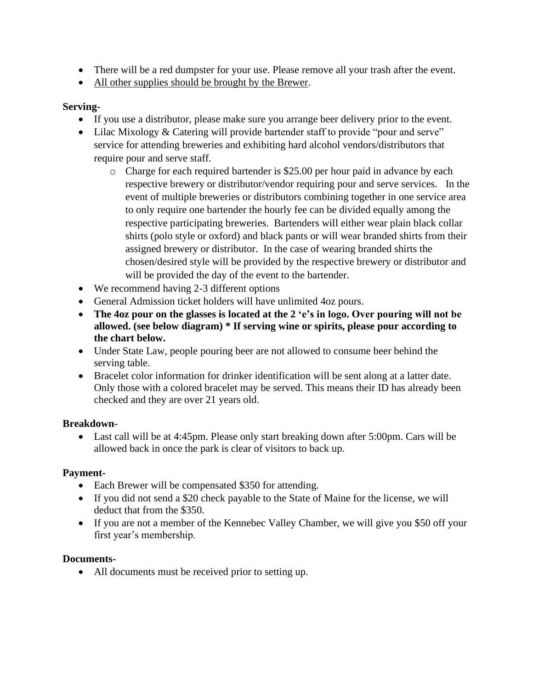- There will be a red dumpster for your use. Please remove all your trash after the event.
- All other supplies should be brought by the Brewer.

## **Serving-**

- If you use a distributor, please make sure you arrange beer delivery prior to the event.
- Lilac Mixology & Catering will provide bartender staff to provide "pour and serve" service for attending breweries and exhibiting hard alcohol vendors/distributors that require pour and serve staff.
	- o Charge for each required bartender is \$25.00 per hour paid in advance by each respective brewery or distributor/vendor requiring pour and serve services. In the event of multiple breweries or distributors combining together in one service area to only require one bartender the hourly fee can be divided equally among the respective participating breweries. Bartenders will either wear plain black collar shirts (polo style or oxford) and black pants or will wear branded shirts from their assigned brewery or distributor. In the case of wearing branded shirts the chosen/desired style will be provided by the respective brewery or distributor and will be provided the day of the event to the bartender.
- We recommend having 2-3 different options
- General Admission ticket holders will have unlimited 4oz pours.
- **The 4oz pour on the glasses is located at the 2 'e's in logo. Over pouring will not be allowed. (see below diagram) \* If serving wine or spirits, please pour according to the chart below.**
- Under State Law, people pouring beer are not allowed to consume beer behind the serving table.
- Bracelet color information for drinker identification will be sent along at a latter date. Only those with a colored bracelet may be served. This means their ID has already been checked and they are over 21 years old.

## **Breakdown-**

• Last call will be at 4:45pm. Please only start breaking down after 5:00pm. Cars will be allowed back in once the park is clear of visitors to back up.

## **Payment-**

- Each Brewer will be compensated \$350 for attending.
- If you did not send a \$20 check payable to the State of Maine for the license, we will deduct that from the \$350.
- If you are not a member of the Kennebec Valley Chamber, we will give you \$50 off your first year's membership.

## **Documents-**

• All documents must be received prior to setting up.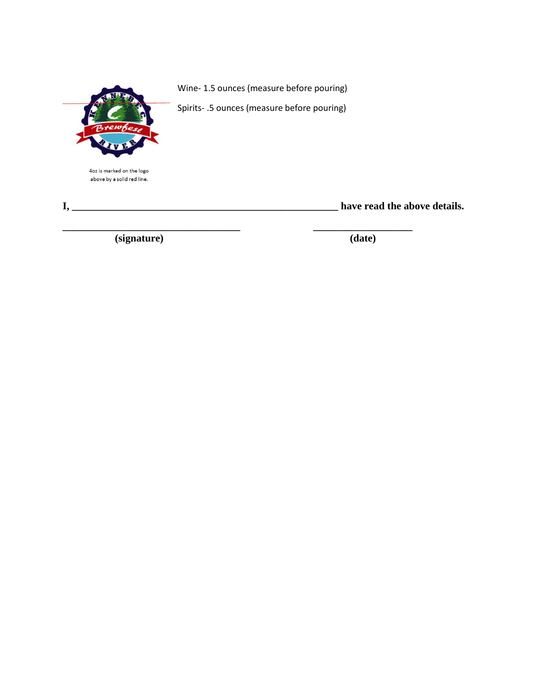

4oz is marked on the logo above by a solid red line.

**I, \_\_\_\_\_\_\_\_\_\_\_\_\_\_\_\_\_\_\_\_\_\_\_\_\_\_\_\_\_\_\_\_\_\_\_\_\_\_\_\_\_\_\_\_\_\_\_\_\_\_\_ have read the above details.**

 **(signature) (date)**

Wine- 1.5 ounces (measure before pouring)

Spirits- .5 ounces (measure before pouring)

**\_\_\_\_\_\_\_\_\_\_\_\_\_\_\_\_\_\_\_\_\_\_\_\_\_\_\_\_\_\_\_\_\_\_ \_\_\_\_\_\_\_\_\_\_\_\_\_\_\_\_\_\_\_**